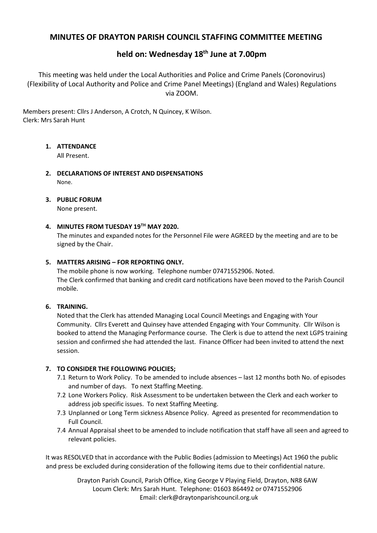## **MINUTES OF DRAYTON PARISH COUNCIL STAFFING COMMITTEE MEETING**

## **held on: Wednesday 18th June at 7.00pm**

This meeting was held under the Local Authorities and Police and Crime Panels (Coronovirus) (Flexibility of Local Authority and Police and Crime Panel Meetings) (England and Wales) Regulations via ZOOM.

Members present: Cllrs J Anderson, A Crotch, N Quincey, K Wilson. Clerk: Mrs Sarah Hunt

## **1. ATTENDANCE**

All Present.

- **2. DECLARATIONS OF INTEREST AND DISPENSATIONS** None.
- **3. PUBLIC FORUM**

None present.

## **4. MINUTES FROM TUESDAY 19TH MAY 2020.**

The minutes and expanded notes for the Personnel File were AGREED by the meeting and are to be signed by the Chair.

## **5. MATTERS ARISING – FOR REPORTING ONLY.**

The mobile phone is now working. Telephone number 07471552906. Noted. The Clerk confirmed that banking and credit card notifications have been moved to the Parish Council mobile.

## **6. TRAINING.**

Noted that the Clerk has attended Managing Local Council Meetings and Engaging with Your Community. Cllrs Everett and Quinsey have attended Engaging with Your Community. Cllr Wilson is booked to attend the Managing Performance course. The Clerk is due to attend the next LGPS training session and confirmed she had attended the last. Finance Officer had been invited to attend the next session.

## **7. TO CONSIDER THE FOLLOWING POLICIES;**

- 7.1 Return to Work Policy. To be amended to include absences last 12 months both No. of episodes and number of days. To next Staffing Meeting.
- 7.2 Lone Workers Policy. Risk Assessment to be undertaken between the Clerk and each worker to address job specific issues. To next Staffing Meeting.
- 7.3 Unplanned or Long Term sickness Absence Policy. Agreed as presented for recommendation to Full Council.
- 7.4 Annual Appraisal sheet to be amended to include notification that staff have all seen and agreed to relevant policies.

It was RESOLVED that in accordance with the Public Bodies (admission to Meetings) Act 1960 the public and press be excluded during consideration of the following items due to their confidential nature.

> Drayton Parish Council, Parish Office, King George V Playing Field, Drayton, NR8 6AW Locum Clerk: Mrs Sarah Hunt. Telephone: 01603 864492 or 07471552906 Email: clerk@draytonparishcouncil.org.uk